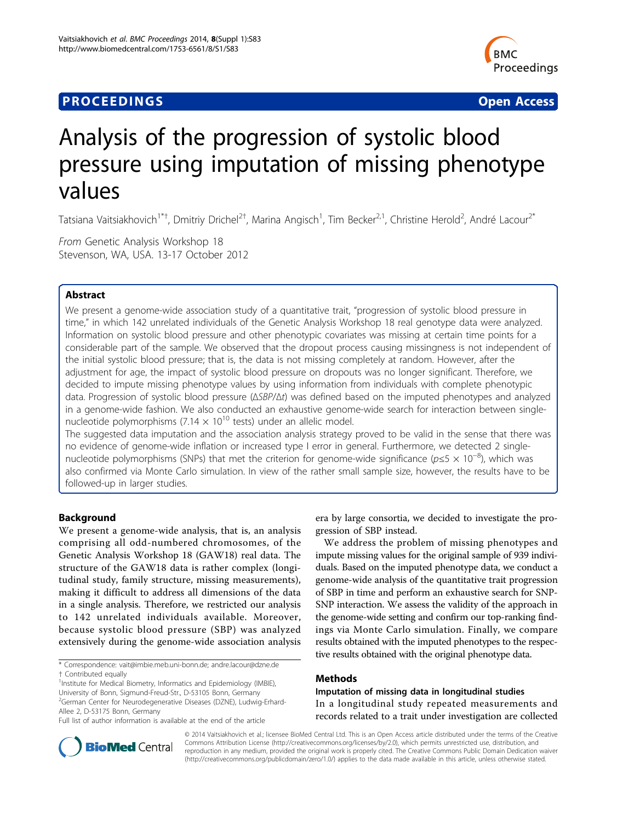# **PROCEEDINGS STATE SERVICE SERVICE SERVICE SERVICE SERVICE SERVICE SERVICE SERVICE SERVICE SERVICE SERVICE SERVICE SERVICE SERVICE SERVICE SERVICE SERVICE SERVICE SERVICE SERVICE SERVICE SERVICE SERVICE SERVICE SERVICE S**



# Analysis of the progression of systolic blood pressure using imputation of missing phenotype values

Tatsiana Vaitsiakhovich<sup>1\*†</sup>, Dmitriy Drichel<sup>2†</sup>, Marina Angisch<sup>1</sup>, Tim Becker<sup>2,1</sup>, Christine Herold<sup>2</sup>, André Lacour<sup>2\*</sup>

From Genetic Analysis Workshop 18 Stevenson, WA, USA. 13-17 October 2012

# Abstract

We present a genome-wide association study of a quantitative trait, "progression of systolic blood pressure in time," in which 142 unrelated individuals of the Genetic Analysis Workshop 18 real genotype data were analyzed. Information on systolic blood pressure and other phenotypic covariates was missing at certain time points for a considerable part of the sample. We observed that the dropout process causing missingness is not independent of the initial systolic blood pressure; that is, the data is not missing completely at random. However, after the adjustment for age, the impact of systolic blood pressure on dropouts was no longer significant. Therefore, we decided to impute missing phenotype values by using information from individuals with complete phenotypic data. Progression of systolic blood pressure (ΔSBP/Δt) was defined based on the imputed phenotypes and analyzed in a genome-wide fashion. We also conducted an exhaustive genome-wide search for interaction between singlenucleotide polymorphisms (7.14  $\times$  10<sup>10</sup> tests) under an allelic model.

The suggested data imputation and the association analysis strategy proved to be valid in the sense that there was no evidence of genome-wide inflation or increased type I error in general. Furthermore, we detected 2 singlenucleotide polymorphisms (SNPs) that met the criterion for genome-wide significance ( $p \le 5 \times 10^{-8}$ ), which was also confirmed via Monte Carlo simulation. In view of the rather small sample size, however, the results have to be followed-up in larger studies.

# Background

We present a genome-wide analysis, that is, an analysis comprising all odd-numbered chromosomes, of the Genetic Analysis Workshop 18 (GAW18) real data. The structure of the GAW18 data is rather complex (longitudinal study, family structure, missing measurements), making it difficult to address all dimensions of the data in a single analysis. Therefore, we restricted our analysis to 142 unrelated individuals available. Moreover, because systolic blood pressure (SBP) was analyzed extensively during the genome-wide association analysis

\* Correspondence: [vait@imbie.meb.uni-bonn.de](mailto:vait@imbie.meb.uni-bonn.de); [andre.lacour@dzne.de](mailto:andre.lacour@dzne.de) † Contributed equally <sup>1</sup>

<sup>1</sup> Institute for Medical Biometry, Informatics and Epidemiology (IMBIE), University of Bonn, Sigmund-Freud-Str., D-53105 Bonn, Germany <sup>2</sup>German Center for Neurodegenerative Diseases (DZNE), Ludwig-Erhard-Allee 2, D-53175 Bonn, Germany

Full list of author information is available at the end of the article

era by large consortia, we decided to investigate the progression of SBP instead.

We address the problem of missing phenotypes and impute missing values for the original sample of 939 individuals. Based on the imputed phenotype data, we conduct a genome-wide analysis of the quantitative trait progression of SBP in time and perform an exhaustive search for SNP-SNP interaction. We assess the validity of the approach in the genome-wide setting and confirm our top-ranking findings via Monte Carlo simulation. Finally, we compare results obtained with the imputed phenotypes to the respective results obtained with the original phenotype data.

# Methods

Imputation of missing data in longitudinal studies In a longitudinal study repeated measurements and records related to a trait under investigation are collected



© 2014 Vaitsiakhovich et al.; licensee BioMed Central Ltd. This is an Open Access article distributed under the terms of the Creative Commons Attribution License [\(http://creativecommons.org/licenses/by/2.0](http://creativecommons.org/licenses/by/2.0)), which permits unrestricted use, distribution, and reproduction in any medium, provided the original work is properly cited. The Creative Commons Public Domain Dedication waiver [\(http://creativecommons.org/publicdomain/zero/1.0/](http://creativecommons.org/publicdomain/zero/1.0/)) applies to the data made available in this article, unless otherwise stated.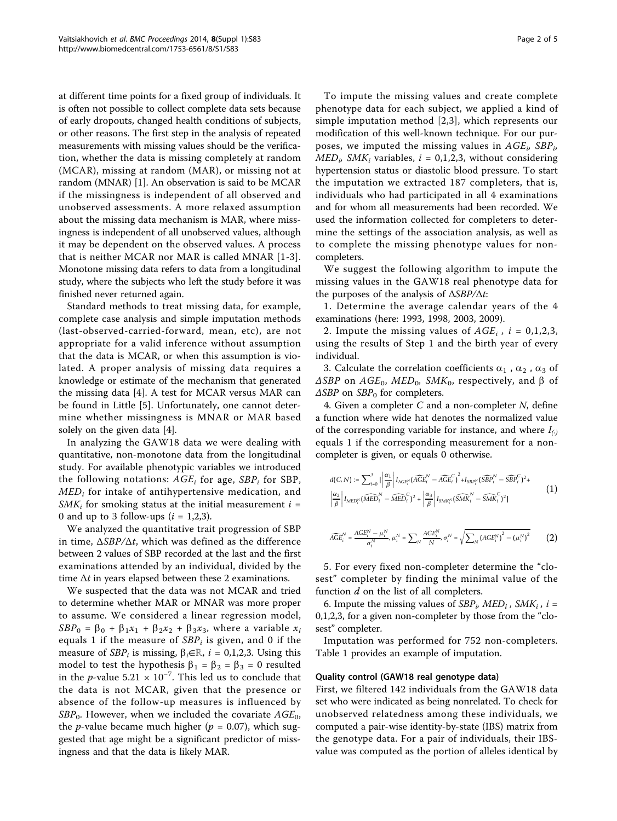at different time points for a fixed group of individuals. It is often not possible to collect complete data sets because of early dropouts, changed health conditions of subjects, or other reasons. The first step in the analysis of repeated measurements with missing values should be the verification, whether the data is missing completely at random (MCAR), missing at random (MAR), or missing not at random (MNAR) [[1\]](#page-4-0). An observation is said to be MCAR if the missingness is independent of all observed and unobserved assessments. A more relaxed assumption about the missing data mechanism is MAR, where missingness is independent of all unobserved values, although it may be dependent on the observed values. A process that is neither MCAR nor MAR is called MNAR [[1-3\]](#page-4-0). Monotone missing data refers to data from a longitudinal study, where the subjects who left the study before it was finished never returned again.

Standard methods to treat missing data, for example, complete case analysis and simple imputation methods (last-observed-carried-forward, mean, etc), are not appropriate for a valid inference without assumption that the data is MCAR, or when this assumption is violated. A proper analysis of missing data requires a knowledge or estimate of the mechanism that generated the missing data [[4\]](#page-4-0). A test for MCAR versus MAR can be found in Little [[5\]](#page-4-0). Unfortunately, one cannot determine whether missingness is MNAR or MAR based solely on the given data [[4](#page-4-0)].

In analyzing the GAW18 data we were dealing with quantitative, non-monotone data from the longitudinal study. For available phenotypic variables we introduced the following notations:  $AGE<sub>i</sub>$  for age,  $SBP<sub>i</sub>$  for SBP,  $MED_i$  for intake of antihypertensive medication, and  $SMK_i$  for smoking status at the initial measurement  $i =$ 0 and up to 3 follow-ups  $(i = 1,2,3)$ .

We analyzed the quantitative trait progression of SBP in time,  $\Delta SBP/\Delta t$ , which was defined as the difference between 2 values of SBP recorded at the last and the first examinations attended by an individual, divided by the time  $\Delta t$  in years elapsed between these 2 examinations.

We suspected that the data was not MCAR and tried to determine whether MAR or MNAR was more proper to assume. We considered a linear regression model,  $SBP_0 = \beta_0 + \beta_1x_1 + \beta_2x_2 + \beta_3x_3$ , where a variable  $x_i$ equals 1 if the measure of  $SBP_i$  is given, and 0 if the measure of  $SBP_i$  is missing,  $\beta_i \in \mathbb{R}$ ,  $i = 0,1,2,3$ . Using this model to test the hypothesis  $\beta_1 = \beta_2 = \beta_3 = 0$  resulted in the *p*-value 5.21  $\times$  10<sup>-7</sup>. This led us to conclude that the data is not MCAR, given that the presence or absence of the follow-up measures is influenced by  $SBP_0$ . However, when we included the covariate  $AGE_0$ , the *p*-value became much higher ( $p = 0.07$ ), which suggested that age might be a significant predictor of missingness and that the data is likely MAR.

To impute the missing values and create complete phenotype data for each subject, we applied a kind of simple imputation method [[2,3\]](#page-4-0), which represents our modification of this well-known technique. For our purposes, we imputed the missing values in  $AGE_i$ ,  $SBP_i$ ,  $MED<sub>i</sub> SMK<sub>i</sub>$  variables,  $i = 0,1,2,3$ , without considering hypertension status or diastolic blood pressure. To start the imputation we extracted 187 completers, that is, individuals who had participated in all 4 examinations and for whom all measurements had been recorded. We used the information collected for completers to determine the settings of the association analysis, as well as to complete the missing phenotype values for noncompleters.

We suggest the following algorithm to impute the missing values in the GAW18 real phenotype data for the purposes of the analysis of  $\triangle SBP/\triangle t$ :

1. Determine the average calendar years of the 4 examinations (here: 1993, 1998, 2003, 2009).

2. Impute the missing values of  $AGE_i$ ,  $i = 0,1,2,3$ , using the results of Step 1 and the birth year of every individual.

3. Calculate the correlation coefficients  $\alpha_1$ ,  $\alpha_2$ ,  $\alpha_3$  of  $\triangle$ SBP on AGE<sub>0</sub>, MED<sub>0</sub>, SMK<sub>0</sub>, respectively, and  $\beta$  of  $\triangle$ SBP on SBP<sub>0</sub> for completers.

4. Given a completer C and a non-completer N, define a function where wide hat denotes the normalized value of the corresponding variable for instance, and where  $I_{(.)}$ equals 1 if the corresponding measurement for a noncompleter is given, or equals 0 otherwise.

$$
d(C, N) := \sum_{i=0}^{3} \left| \frac{\alpha_1}{\beta} \right| I_{ACE_i^N} (\widehat{ACE_i}^N - \widehat{ACE_i}^C)^2 + I_{SBP_i^N} (\widehat{SBP}_i^N - \widehat{SBP}_i^C)^2 +
$$
  

$$
\left| \frac{\alpha_2}{\beta} \right| I_{MED_i^N} (\widehat{MED_i}^N - \widehat{MED}_i^C)^2 + \left| \frac{\alpha_3}{\beta} \right| I_{SMK_i^N} (\widehat{SMK}_i^N - \widehat{SMK}_i^C)^2]
$$

$$
(1)
$$

$$
\widehat{AGE}_i^N = \frac{AGE_i^N - \mu_i^N}{\sigma_i^N}, \mu_i^N = \sum_N \frac{AGE_i^N}{N}, \sigma_i^N = \sqrt{\sum_N \left(AGE_i^N\right)^2 - \left(\mu_i^N\right)^2} \tag{2}
$$

5. For every fixed non-completer determine the "closest" completer by finding the minimal value of the function  $d$  on the list of all completers.

6. Impute the missing values of  $SBP<sub>i</sub>$ ,  $MED<sub>i</sub>$ ,  $SMK<sub>i</sub>$ ,  $i =$ 0,1,2,3, for a given non-completer by those from the "closest" completer.

Imputation was performed for 752 non-completers. Table [1](#page-2-0) provides an example of imputation.

### Quality control (GAW18 real genotype data)

First, we filtered 142 individuals from the GAW18 data set who were indicated as being nonrelated. To check for unobserved relatedness among these individuals, we computed a pair-wise identity-by-state (IBS) matrix from the genotype data. For a pair of individuals, their IBSvalue was computed as the portion of alleles identical by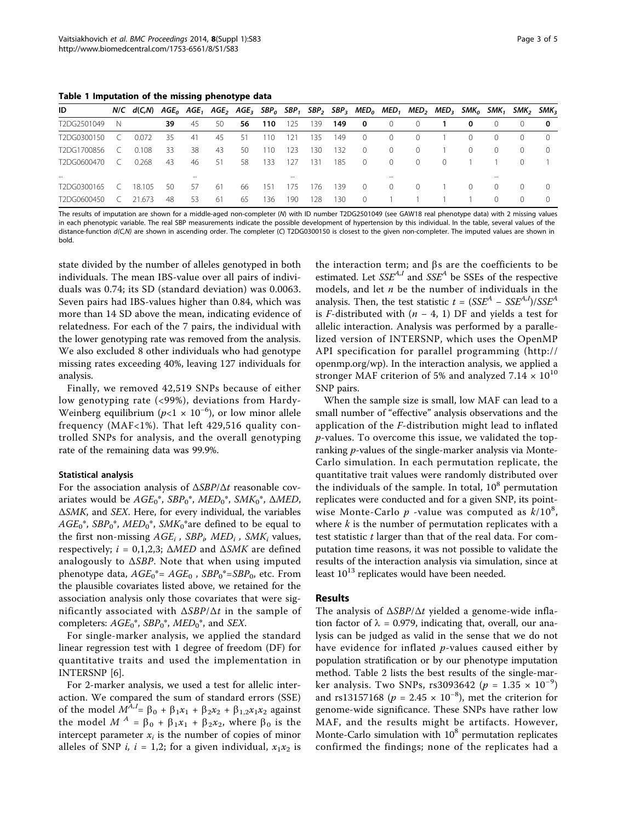<span id="page-2-0"></span>Table 1 Imputation of the missing phenotype data

| ID          |            | N/C $d(C,N)$ AGE <sub>0</sub> AGE <sub>1</sub> AGE <sub>2</sub> AGE <sub>3</sub> SBP <sub>0</sub> SBP <sub>1</sub> SBP <sub>2</sub> SBP <sub>3</sub> MED <sub>0</sub> MED <sub>1</sub> MED <sub>2</sub> MED <sub>3</sub> SMK <sub>0</sub> SMK <sub>1</sub> |    |     |     |     |      |     |     |     |          |                  |                  |          |          |                  | SMK <sub>2</sub> SMK <sub>3</sub> |                  |
|-------------|------------|------------------------------------------------------------------------------------------------------------------------------------------------------------------------------------------------------------------------------------------------------------|----|-----|-----|-----|------|-----|-----|-----|----------|------------------|------------------|----------|----------|------------------|-----------------------------------|------------------|
| T2DG2501049 | -N         |                                                                                                                                                                                                                                                            | 39 | -45 | 50  | 56  | 110  | 125 | 139 | 149 | 0        | $\left( \right)$ |                  |          | 0        | $\left( \right)$ |                                   | 0                |
| T2DG0300150 |            | 0.072                                                                                                                                                                                                                                                      | 35 | -41 | 45  | -51 | 110. | 121 | 135 | 149 | $\Omega$ | (                | $\left( \right)$ |          |          | $\left( \right)$ |                                   |                  |
| T2DG1700856 | $\epsilon$ | 0.108                                                                                                                                                                                                                                                      | 33 | 38  | 43  | 50  | 110  | 123 | 130 | 132 | $\circ$  | $\Omega$         | $\Omega$         |          | $\Omega$ | $\Omega$         |                                   | $\left( \right)$ |
| T2DG0600470 | $\subset$  | 0.268                                                                                                                                                                                                                                                      | 43 | 46  | 51  | 58  | 133  | 127 | 131 | 185 | $\Omega$ | $\Omega$         | $\Omega$         | $\Omega$ |          |                  |                                   |                  |
| $\cdots$    |            |                                                                                                                                                                                                                                                            |    |     |     |     |      |     |     |     |          |                  |                  |          |          |                  |                                   |                  |
| T2DG0300165 |            | 18.105                                                                                                                                                                                                                                                     | 50 | -57 | -61 | 66  | 151  | 175 | 176 | 139 | $\Omega$ | $\Omega$         | $\Omega$         |          | $\Omega$ | $\Omega$         |                                   | $\Omega$         |
| T2DG0600450 |            | 21.673                                                                                                                                                                                                                                                     | 48 | -53 | -61 | 65  | 136  | 190 | 128 | 130 | $\Omega$ |                  |                  |          |          | $\Omega$         |                                   | ∩                |

The results of imputation are shown for a middle-aged non-completer (N) with ID number T2DG2501049 (see GAW18 real phenotype data) with 2 missing values in each phenotypic variable. The real SBP measurements indicate the possible development of hypertension by this individual. In the table, several values of the distance-function d(C,N) are shown in ascending order. The completer (C) T2DG0300150 is closest to the given non-completer. The imputed values are shown in bold.

state divided by the number of alleles genotyped in both individuals. The mean IBS-value over all pairs of individuals was 0.74; its SD (standard deviation) was 0.0063. Seven pairs had IBS-values higher than 0.84, which was more than 14 SD above the mean, indicating evidence of relatedness. For each of the 7 pairs, the individual with the lower genotyping rate was removed from the analysis. We also excluded 8 other individuals who had genotype missing rates exceeding 40%, leaving 127 individuals for analysis.

Finally, we removed 42,519 SNPs because of either low genotyping rate (<99%), deviations from Hardy-Weinberg equilibrium ( $p$ <1 × 10<sup>-6</sup>), or low minor allele frequency (MAF<1%). That left 429,516 quality controlled SNPs for analysis, and the overall genotyping rate of the remaining data was 99.9%.

# Statistical analysis

For the association analysis of ΔSBP/Δt reasonable covariates would be  $AGE_0^*$ ,  $SBP_0^*$ ,  $MED_0^*$ ,  $SMK_0^*$ ,  $\Delta MED$ , ΔSMK, and SEX. Here, for every individual, the variables  $AGE_0^*$ ,  $SBP_0^*$ ,  $MED_0^*$ ,  $SMK_0^*$  are defined to be equal to the first non-missing  $AGE_i$ ,  $SBP_i$ ,  $MED_i$ ,  $SMK_i$  values, respectively;  $i = 0,1,2,3$ ;  $\triangle MED$  and  $\triangle SMK$  are defined analogously to  $\triangle$ SBP. Note that when using imputed phenotype data,  $AGE_0^* = AGE_0$ ,  $SBP_0^* = SBP_0$ , etc. From the plausible covariates listed above, we retained for the association analysis only those covariates that were significantly associated with  $\Delta SBP/\Delta t$  in the sample of completers:  $AGE_0^*$ ,  $SBP_0^*$ ,  $MED_0^*$ , and SEX.

For single-marker analysis, we applied the standard linear regression test with 1 degree of freedom (DF) for quantitative traits and used the implementation in INTERSNP [[6\]](#page-4-0).

For 2-marker analysis, we used a test for allelic interaction. We compared the sum of standard errors (SSE) of the model  $M^{A,I} = \beta_0 + \beta_1 x_1 + \beta_2 x_2 + \beta_{1,2} x_1 x_2$  against the model  $M^A = \beta_0 + \beta_1 x_1 + \beta_2 x_2$ , where  $\beta_0$  is the intercept parameter  $x_i$  is the number of copies of minor alleles of SNP *i*,  $i = 1,2$ ; for a given individual,  $x_1x_2$  is

the interaction term; and  $\beta s$  are the coefficients to be estimated. Let  $SSE^{A,I}$  and  $SSE^{A}$  be SSEs of the respective models, and let  $n$  be the number of individuals in the analysis. Then, the test statistic  $t = (SSE^{A} - SSE^{A,I})/SSE^{A}$ is F-distributed with  $(n - 4, 1)$  DF and yields a test for allelic interaction. Analysis was performed by a parallelized version of INTERSNP, which uses the OpenMP API specification for parallel programming ([http://](http://openmp.org/wp) [openmp.org/wp](http://openmp.org/wp)). In the interaction analysis, we applied a stronger MAF criterion of 5% and analyzed  $7.14 \times 10^{10}$ SNP pairs.

When the sample size is small, low MAF can lead to a small number of "effective" analysis observations and the application of the F-distribution might lead to inflated  $p$ -values. To overcome this issue, we validated the topranking p-values of the single-marker analysis via Monte-Carlo simulation. In each permutation replicate, the quantitative trait values were randomly distributed over the individuals of the sample. In total,  $10<sup>8</sup>$  permutation replicates were conducted and for a given SNP, its pointwise Monte-Carlo  $p$  -value was computed as  $k/10^8$ , where  $k$  is the number of permutation replicates with a test statistic  $t$  larger than that of the real data. For computation time reasons, it was not possible to validate the results of the interaction analysis via simulation, since at least  $10^{13}$  replicates would have been needed.

# Results

The analysis of ΔSBP/Δt yielded a genome-wide inflation factor of  $\lambda = 0.979$ , indicating that, overall, our analysis can be judged as valid in the sense that we do not have evidence for inflated p-values caused either by population stratification or by our phenotype imputation method. Table [2](#page-3-0) lists the best results of the single-marker analysis. Two SNPs, rs3093642 ( $p = 1.35 \times 10^{-9}$ ) and rs13157168 ( $p = 2.45 \times 10^{-8}$ ), met the criterion for genome-wide significance. These SNPs have rather low MAF, and the results might be artifacts. However, Monte-Carlo simulation with  $10<sup>8</sup>$  permutation replicates confirmed the findings; none of the replicates had a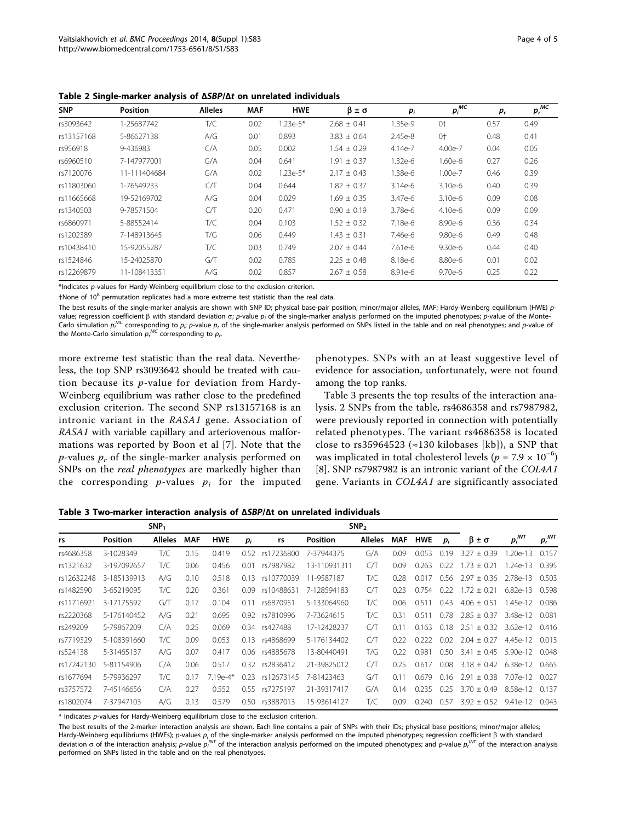<span id="page-3-0"></span>Table 2 Single-marker analysis of ΔSBP/Δt on unrelated individuals

| <b>SNP</b> | <b>Position</b> | <b>Alleles</b> | <b>MAF</b> | <b>HWE</b> | $\beta \pm \sigma$ | $p_i$     | $p_i^{MC}$ | $p_r$ | $p_r^{\overline{MC}}$ |
|------------|-----------------|----------------|------------|------------|--------------------|-----------|------------|-------|-----------------------|
| rs3093642  | 1-25687742      | T/C            | 0.02       | $1.23e-5*$ | $2.68 \pm 0.41$    | 1.35e-9   | $0+$       | 0.57  | 0.49                  |
| rs13157168 | 5-86627138      | A/G            | 0.01       | 0.893      | $3.83 \pm 0.64$    | 2.45e-8   | $0+$       | 0.48  | 0.41                  |
| rs956918   | 9-436983        | C/A            | 0.05       | 0.002      | $1.54 \pm 0.29$    | 4.14e-7   | 4.00e-7    | 0.04  | 0.05                  |
| rs6960510  | 7-147977001     | G/A            | 0.04       | 0.641      | $1.91 \pm 0.37$    | $1.32e-6$ | 1.60e-6    | 0.27  | 0.26                  |
| rs7120076  | 11-111404684    | G/A            | 0.02       | $1.23e-5*$ | $2.17 \pm 0.43$    | 1.38e-6   | 1.00e-7    | 0.46  | 0.39                  |
| rs11803060 | 1-76549233      | CЛ             | 0.04       | 0.644      | $1.82 \pm 0.37$    | $3.14e-6$ | 3.10e-6    | 0.40  | 0.39                  |
| rs11665668 | 19-52169702     | A/G            | 0.04       | 0.029      | $1.69 \pm 0.35$    | 3.47e-6   | 3.10e-6    | 0.09  | 0.08                  |
| rs1340503  | 9-78571504      | CЛ             | 0.20       | 0.471      | $0.90 \pm 0.19$    | 3.78e-6   | 4.10e-6    | 0.09  | 0.09                  |
| rs6860971  | 5-88552414      | T/C            | 0.04       | 0.103      | $1.52 \pm 0.32$    | 7.18e-6   | 8.90e-6    | 0.36  | 0.34                  |
| rs1202389  | 7-148913645     | T/G            | 0.06       | 0.449      | $1.43 \pm 0.31$    | 7.46e-6   | 9.80e-6    | 0.49  | 0.48                  |
| rs10438410 | 15-92055287     | T/C            | 0.03       | 0.749      | $2.07 \pm 0.44$    | 7.61e-6   | $9.30e-6$  | 0.44  | 0.40                  |
| rs1524846  | 15-24025870     | G/T            | 0.02       | 0.785      | $2.25 + 0.48$      | 8.18e-6   | 8.80e-6    | 0.01  | 0.02                  |
| rs12269879 | 11-108413351    | A/G            | 0.02       | 0.857      | $2.67 \pm 0.58$    | 8.91e-6   | 9.70e-6    | 0.25  | 0.22                  |

\*Indicates p-values for Hardy-Weinberg equilibrium close to the exclusion criterion.

 $+$ None of 10 $<sup>8</sup>$  permutation replicates had a more extreme test statistic than the real data.</sup>

The best results of the single-marker analysis are shown with SNP ID; physical base-pair position; minor/major alleles, MAF; Hardy-Weinberg equilibrium (HWE) pvalue; regression coefficient  $\beta$  with standard deviation  $\sigma$ ; p-value  $p_i$  of the single-marker analysis performed on the imputed phenotypes; p-value of the Monte-Carlo simulation  $p_i^{MC}$  corresponding to  $p_i$  p-value  $p_r$  of the single-marker analysis performed on SNPs listed in the table and on real phenotypes; and p-value of the Monte-Carlo simulation  $p_{r}^{\textit{MC}}$  corresponding to  $p_{r}$ .

more extreme test statistic than the real data. Nevertheless, the top SNP rs3093642 should be treated with caution because its p-value for deviation from Hardy-Weinberg equilibrium was rather close to the predefined exclusion criterion. The second SNP rs13157168 is an intronic variant in the RASA1 gene. Association of RASA1 with variable capillary and arteriovenous malformations was reported by Boon et al [[7](#page-4-0)]. Note that the *p*-values  $p_r$  of the single-marker analysis performed on SNPs on the real phenotypes are markedly higher than the corresponding  $p$ -values  $p_i$  for the imputed

phenotypes. SNPs with an at least suggestive level of evidence for association, unfortunately, were not found among the top ranks.

Table 3 presents the top results of the interaction analysis. 2 SNPs from the table, rs4686358 and rs7987982, were previously reported in connection with potentially related phenotypes. The variant rs4686358 is located close to rs35964523 ( $\approx$ 130 kilobases [kb]), a SNP that was implicated in total cholesterol levels ( $p = 7.9 \times 10^{-6}$ ) [[8\]](#page-4-0). SNP rs7987982 is an intronic variant of the COL4A1 gene. Variants in COL4A1 are significantly associated

Table 3 Two-marker interaction analysis of ΔSBP/Δt on unrelated individuals

|            |                 | SNP <sub>1</sub> |                          |            |       |            |                 |         |            |            |       |                 |                          |             |
|------------|-----------------|------------------|--------------------------|------------|-------|------------|-----------------|---------|------------|------------|-------|-----------------|--------------------------|-------------|
| rs         | <b>Position</b> | <b>Alleles</b>   | <b>HWE</b><br><b>MAF</b> |            | $p_i$ | rs         | <b>Position</b> | Alleles | <b>MAF</b> | <b>HWE</b> | $p_i$ | β ± σ           | $p_i^{\text{INT}}$       | $p_r^{INT}$ |
| rs4686358  | 3-1028349       | T/C              | 0.15                     | 0.419      | 0.52  | rs17236800 | 7-37944375      | G/A     | 0.09       | 0.053      | 0.19  | $3.27 \pm 0.39$ | $1.20e-13$               | 0.157       |
| rs1321632  | 3-197092657     | T/C              | 0.06                     | 0.456      | 0.01  | rs7987982  | 13-110931311    | CЛ      | 0.09       | 0.263      | 0.22  | $1.73 \pm 0.21$ | 1.24e-13                 | 0.395       |
| rs12632248 | 3-185139913     | A/G              | 0.10                     | 0.518      | 0.13  | rs10770039 | 11-9587187      | T/C     | 0.28       | 0.017      | 0.56  | $2.97 \pm 0.36$ | 2.78e-13                 | 0.503       |
| rs1482590  | 3-65219095      | T/C              | 0.20                     | 0.361      | 0.09  | rs10488631 | 7-128594183     | CЛ      | 0.23       | 0.754      | 0.22  | $1.72 + 0.21$   | $6.82e-13$               | 0.598       |
| rs11716921 | 3-17175592      | GЛ               | 0.17                     | 0.104      | 0.11  | rs6870951  | 5-133064960     | T/C     | 0.06       | 0.51       | 0.43  | $4.06 \pm 0.51$ | 1.45e-12                 | 0.086       |
| rs2220368  | 5-176140452     | A/G              | 0.21                     | 0.695      | 0.92  | rs7810996  | 7-73624615      | T/C     | 0.31       | 0.511      | 0.78  | $2.85 \pm 0.37$ | 3.48e-12                 | 0.081       |
| rs249209   | 5-79867209      | C/A              | 0.25                     | 0.069      | 0.34  | rs427488   | 17-12428237     | C/T     | 011        | 0.163      | 0.18  | $2.51 + 0.32$   | $3.62e-12$               | 0.416       |
| rs7719329  | 5-108391660     | T/C              | 0.09                     | 0.053      | 0.13  | rs4868699  | 5-176134402     | CЛ      | 0.22       | 0.222      | 0.02  | $2.04 \pm 0.27$ | 4.45e-12                 | 0.013       |
| rs524138   | 5-31465137      | A/G              | 0.07                     | 0.417      | 0.06  | rs4885678  | 13-80440491     | T/G     | 0.22       | 0.981      | 0.50  | $3.41 \pm 0.45$ | 5.90e-12                 | 0.048       |
| rs17242130 | 5-81154906      | C/A              | 0.06                     | 0.517      | 0.32  | rs2836412  | 21-39825012     | CЛ      | 0.25       | 0.61       | 0.08  | $3.18 \pm 0.42$ | 6.38e-12                 | 0.665       |
| rs1677694  | 5-79936297      | T/C              | 0.17                     | $7.19e-4*$ | 0.23  | rs12673145 | 7-81423463      | GЛ      | 011        | 0.679      | 0.16  | $2.91 + 0.38$   | $7.07e-12$               | 0.027       |
| rs3757572  | 7-45146656      | C/A              | 0.27                     | 0.552      | 0.55  | rs7275197  | 21-39317417     | G/A     | 014        | 0.235      | 0.25  | $3.70 \pm 0.49$ | 8.58e-1<br>$\mathcal{L}$ | 0.137       |
| rs1802074  | 7-37947103      | A/G              | 0.13                     | 0.579      | 0.50  | rs3887013  | 15-93614127     | T/C     | 0.09       | 0.240      | 0.57  | $3.92 \pm 0.52$ | 9.41e-12                 | 0.043       |

\* Indicates p-values for Hardy-Weinberg equilibrium close to the exclusion criterion.

The best results of the 2-marker interaction analysis are shown. Each line contains a pair of SNPs with their IDs; physical base positions; minor/major alleles; Hardy-Weinberg equilibriums (HWEs); p-values  $p_i$  of the single-marker analysis performed on the imputed phenotypes; regression coefficient  $\beta$  with standard deviation  $\sigma$  of the interaction analysis; p-value  $p_i^{INT}$  of the interaction analysis performed on the imputed phenotypes; and  $p$ -value  $p_i^{INT}$  of the interaction analysis performed on SNPs listed in the table and on the real phenotypes.